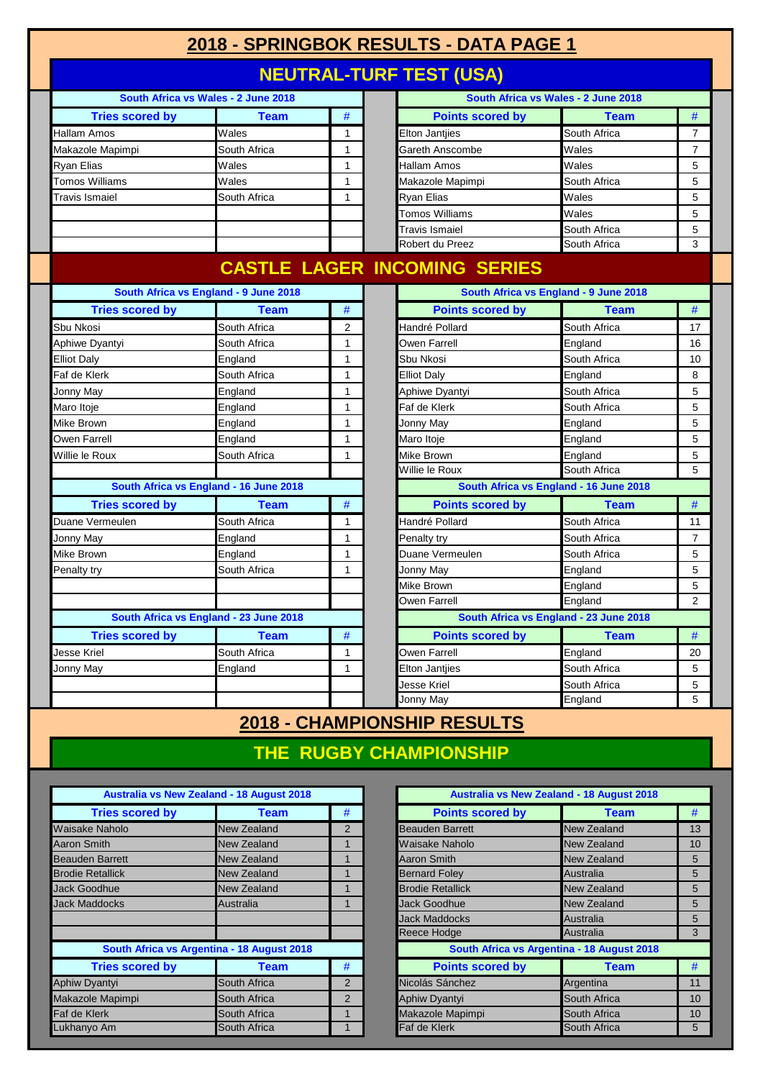## **2018 - SPRINGBOK RESULTS - DATA PAGE 1**

## **NEUTRAL-TURF TEST (USA)**

|                        | South Africa vs Wales - 2 June 2018    |                |                                     | South Africa vs Wales - 2 June 2018    |                |
|------------------------|----------------------------------------|----------------|-------------------------------------|----------------------------------------|----------------|
| <b>Tries scored by</b> | <b>Team</b>                            | #              | <b>Points scored by</b>             | <b>Team</b>                            | $\#$           |
| Hallam Amos            | Wales                                  | $\mathbf{1}$   | Elton Jantjies                      | South Africa                           | $\overline{7}$ |
| Makazole Mapimpi       | South Africa                           | $\mathbf{1}$   | Gareth Anscombe                     | Wales                                  | $\overline{7}$ |
| Ryan Elias             | Wales                                  | $\mathbf{1}$   | Hallam Amos                         | Wales                                  | 5              |
| Tomos Williams         | Wales                                  | $\mathbf{1}$   | Makazole Mapimpi                    | South Africa                           | 5              |
| Travis Ismaiel         | South Africa                           | 1              | Ryan Elias                          | Wales                                  | 5              |
|                        |                                        |                | Tomos Williams                      | Wales                                  | 5              |
|                        |                                        |                | Travis Ismaiel                      | South Africa                           | 5              |
|                        |                                        |                | Robert du Preez                     | South Africa                           | 3              |
|                        |                                        |                | <b>CASTLE LAGER INCOMING SERIES</b> |                                        |                |
|                        | South Africa vs England - 9 June 2018  |                |                                     | South Africa vs England - 9 June 2018  |                |
| <b>Tries scored by</b> | <b>Team</b>                            | #              | <b>Points scored by</b>             | <b>Team</b>                            | #              |
| Sbu Nkosi              | South Africa                           | $\overline{2}$ | Handré Pollard                      | South Africa                           | 17             |
| Aphiwe Dyantyi         | South Africa                           | $\mathbf{1}$   | Owen Farrell                        | England                                | 16             |
| <b>Elliot Daly</b>     | England                                | $\mathbf{1}$   | Sbu Nkosi                           | South Africa                           | 10             |
| Faf de Klerk           | South Africa                           | $\mathbf{1}$   | <b>Elliot Daly</b>                  | England                                | 8              |
| Jonny May              | England                                | 1              | Aphiwe Dyantyi                      | South Africa                           | 5              |
| Maro Itoje             | England                                | $\mathbf{1}$   | Faf de Klerk                        | South Africa                           | 5              |
| Mike Brown             | England                                | $\mathbf{1}$   | Jonny May                           | England                                | 5              |
| Owen Farrell           | England                                | $\mathbf{1}$   | Maro Itoje                          | England                                | 5              |
| Willie le Roux         | South Africa                           | 1              | Mike Brown                          | England                                | 5              |
|                        |                                        |                | Willie le Roux                      | South Africa                           | 5              |
|                        | South Africa vs England - 16 June 2018 |                |                                     | South Africa vs England - 16 June 2018 |                |
| <b>Tries scored by</b> | <b>Team</b>                            | #              | <b>Points scored by</b>             | <b>Team</b>                            | $\#$           |
| Duane Vermeulen        | South Africa                           | 1              | Handré Pollard                      | South Africa                           | 11             |
| Jonny May              | England                                | $\mathbf{1}$   | Penalty try                         | South Africa                           | $\overline{7}$ |
| Mike Brown             | England                                | $\mathbf{1}$   | Duane Vermeulen                     | South Africa                           | 5              |
| Penalty try            | South Africa                           | $\mathbf{1}$   | Jonny May                           | England                                | 5              |
|                        |                                        |                | Mike Brown                          | England                                | 5              |
|                        |                                        |                | Owen Farrell                        | England                                | $\overline{2}$ |
|                        | South Africa vs England - 23 June 2018 |                |                                     | South Africa vs England - 23 June 2018 |                |
| <b>Tries scored by</b> | <b>Team</b>                            | #              | <b>Points scored by</b>             | <b>Team</b>                            | $\#$           |
| Jesse Kriel            | South Africa                           | $\mathbf{1}$   | Owen Farrell                        | England                                | 20             |
| Jonny May              | England                                | $\mathbf{1}$   | <b>Elton Jantiies</b>               | South Africa                           | 5              |
|                        |                                        |                | Jesse Kriel                         | South Africa                           | 5              |
|                        |                                        |                | Jonny May                           | England                                | 5              |

#### **2018 - CHAMPIONSHIP RESULTS**

#### **THE RUGBY CHAMPIONSHIP**

|                         | <b>Australia vs New Zealand - 18 August 2018</b> |                |                         | <b>Australia vs New Zealand - 18 August 2018</b> |                |
|-------------------------|--------------------------------------------------|----------------|-------------------------|--------------------------------------------------|----------------|
| <b>Tries scored by</b>  | Team                                             | #              | <b>Points scored by</b> | <b>Team</b>                                      | #              |
| Waisake Naholo          | <b>New Zealand</b>                               | 2              | <b>Beauden Barrett</b>  | <b>New Zealand</b>                               | 13             |
| Aaron Smith             | New Zealand                                      |                | Waisake Naholo          | New Zealand                                      | 1 <sup>C</sup> |
| Beauden Barrett         | New Zealand                                      |                | <b>Aaron Smith</b>      | <b>New Zealand</b>                               | 5              |
| <b>Brodie Retallick</b> | New Zealand                                      |                | <b>Bernard Foley</b>    | Australia                                        | 5              |
| <b>Jack Goodhue</b>     | New Zealand                                      |                | <b>Brodie Retallick</b> | <b>New Zealand</b>                               | 5              |
| <b>Jack Maddocks</b>    | Australia                                        |                | Jack Goodhue            | <b>New Zealand</b>                               | 5              |
|                         |                                                  |                | Jack Maddocks           | Australia                                        | 5              |
|                         |                                                  |                | Reece Hodge             | Australia                                        | 3              |
|                         | South Africa vs Argentina - 18 August 2018       |                |                         | South Africa vs Argentina - 18 August 2018       |                |
| <b>Tries scored by</b>  | Team                                             | #              | <b>Points scored by</b> | <b>Team</b>                                      | #              |
| <b>Aphiw Dyantyi</b>    | South Africa                                     | $\overline{2}$ | Nicolás Sánchez         | Argentina                                        | 11             |
| Makazole Mapimpi        | South Africa                                     | 2              | Aphiw Dyantyi           | South Africa                                     | 1 <sup>C</sup> |
| Faf de Klerk            | South Africa                                     |                | Makazole Mapimpi        | South Africa                                     | 1 <sup>C</sup> |
| Lukhanyo Am             | South Africa                                     |                | Faf de Klerk            | South Africa                                     | 5              |

|                        | <b>Australia vs New Zealand - 18 August 2018</b> |                |                                            | <b>Australia vs New Zealand - 18 August 2018</b> |                 |
|------------------------|--------------------------------------------------|----------------|--------------------------------------------|--------------------------------------------------|-----------------|
| <b>Tries scored by</b> | <b>Team</b>                                      | #              | <b>Points scored by</b>                    | <b>Team</b>                                      | #               |
| <b>Naholo</b>          | <b>New Zealand</b>                               | $\overline{2}$ | <b>Beauden Barrett</b>                     | <b>New Zealand</b>                               | 13              |
| mith                   | <b>New Zealand</b>                               |                | Waisake Naholo                             | New Zealand                                      | 10 <sup>1</sup> |
| Barrett                | <b>New Zealand</b>                               |                | <b>Aaron Smith</b>                         | <b>New Zealand</b>                               | 5               |
| etallick               | <b>New Zealand</b>                               |                | <b>Bernard Foley</b>                       | Australia                                        | 5               |
| odhue                  | <b>New Zealand</b>                               |                | <b>Brodie Retallick</b>                    | <b>New Zealand</b>                               | 5               |
| ddocks                 | Australia                                        |                | Jack Goodhue                               | <b>New Zealand</b>                               | 5               |
|                        |                                                  |                | <b>Jack Maddocks</b>                       | Australia                                        | 5               |
|                        |                                                  |                | Reece Hodge                                | Australia                                        | 3               |
|                        | South Africa vs Argentina - 18 August 2018       |                | South Africa vs Argentina - 18 August 2018 |                                                  |                 |
| <b>Tries scored by</b> | <b>Team</b>                                      | #              | <b>Points scored by</b>                    | <b>Team</b>                                      | #               |
| yantyi                 | South Africa                                     | 2              | Nicolás Sánchez                            | Argentina                                        | 11              |
| e Mapimpi              | South Africa                                     | 2              | Aphiw Dyantyi                              | South Africa                                     | 10              |
| lerk                   | South Africa                                     |                | Makazole Mapimpi                           | South Africa                                     | 10              |
| o Am                   | South Africa                                     |                | Faf de Klerk                               | South Africa                                     | 5               |
|                        |                                                  |                |                                            |                                                  |                 |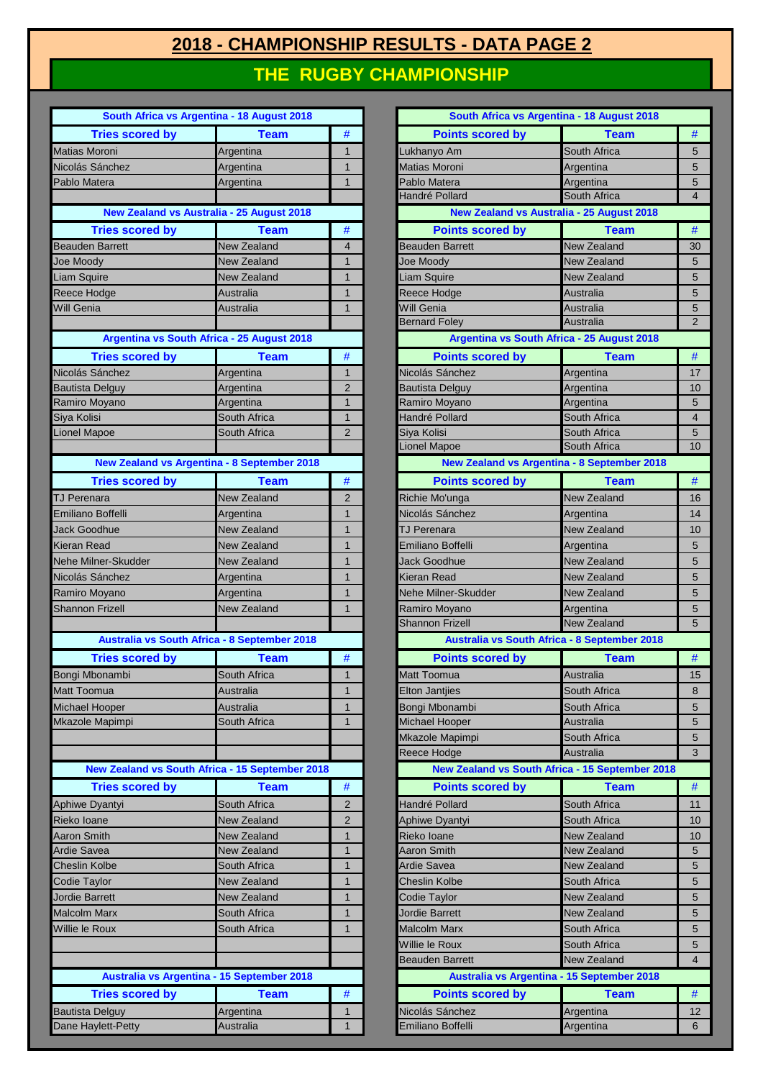#### **2018 - CHAMPIONSHIP RESULTS - DATA PAGE 2 THE RUGBY CHAMPIONSHIP**

|                            | South Africa vs Argentina - 18 August 2018         |                |                         | South Africa vs Argentina - 18 August 2018      |                |
|----------------------------|----------------------------------------------------|----------------|-------------------------|-------------------------------------------------|----------------|
| <b>Tries scored by</b>     | <b>Team</b>                                        | $\#$           | <b>Points scored by</b> | <b>Team</b>                                     | $\#$           |
| <b>Matias Moroni</b>       | Argentina                                          | $\mathbf{1}$   | Lukhanyo Am             | South Africa                                    | 5              |
| Nicolás Sánchez            | Argentina                                          | $\mathbf{1}$   | <b>Matias Moroni</b>    | Argentina                                       | 5              |
| Pablo Matera               | Argentina                                          | $\mathbf{1}$   | Pablo Matera            | Argentina                                       | 5              |
|                            |                                                    |                | Handré Pollard          | South Africa                                    | $\overline{4}$ |
|                            | <b>New Zealand vs Australia - 25 August 2018</b>   |                |                         | New Zealand vs Australia - 25 August 2018       |                |
| <b>Tries scored by</b>     | <b>Team</b>                                        | $\#$           | <b>Points scored by</b> | <b>Team</b>                                     | $\#$           |
| <b>Beauden Barrett</b>     | <b>New Zealand</b>                                 | 4              | <b>Beauden Barrett</b>  | <b>New Zealand</b>                              | 3 <sub>0</sub> |
| Joe Moody                  | <b>New Zealand</b>                                 | 1              | <b>Joe Moody</b>        | <b>New Zealand</b>                              | 5              |
| <b>Liam Squire</b>         | New Zealand                                        | $\mathbf{1}$   | Liam Squire             | <b>New Zealand</b>                              | 5              |
| Reece Hodge                | Australia                                          | $\mathbf{1}$   | Reece Hodge             | Australia                                       | 5              |
| Will Genia                 | Australia                                          | $\mathbf{1}$   | Will Genia              | Australia                                       | $\overline{5}$ |
|                            |                                                    |                | <b>Bernard Foley</b>    | Australia                                       | $\overline{2}$ |
|                            | Argentina vs South Africa - 25 August 2018         |                |                         | Argentina vs South Africa - 25 August 2018      |                |
| <b>Tries scored by</b>     | <b>Team</b>                                        | $\#$           | <b>Points scored by</b> | <b>Team</b>                                     | $\#$           |
| Nicolás Sánchez            | Argentina                                          | $\mathbf{1}$   | Nicolás Sánchez         | Argentina                                       | 17             |
| <b>Bautista Delguy</b>     | Argentina                                          | $\overline{2}$ | <b>Bautista Delguy</b>  | Argentina                                       | 1 <sup>C</sup> |
| Ramiro Moyano              | Argentina                                          | $\mathbf{1}$   | Ramiro Moyano           | Argentina                                       | 5              |
| Siya Kolisi                | South Africa                                       | 1              | Handré Pollard          | South Africa                                    | $\overline{4}$ |
| <b>Lionel Mapoe</b>        | South Africa                                       | $\overline{2}$ | Siya Kolisi             | South Africa                                    | $\overline{5}$ |
|                            |                                                    |                | Lionel Mapoe            | South Africa                                    | 10             |
|                            | <b>New Zealand vs Argentina - 8 September 2018</b> |                |                         | New Zealand vs Argentina - 8 September 2018     |                |
| <b>Tries scored by</b>     | <b>Team</b>                                        | $\#$           | <b>Points scored by</b> | <b>Team</b>                                     | #              |
| <b>TJ Perenara</b>         | New Zealand                                        | $\overline{2}$ | Richie Mo'unga          | <b>New Zealand</b>                              | 16             |
| Emiliano Boffelli          | Argentina                                          | $\overline{1}$ | Nicolás Sánchez         | Argentina                                       | 14             |
| Jack Goodhue               | New Zealand                                        | $\overline{1}$ | TJ Perenara             | New Zealand                                     | 1 <sup>C</sup> |
| Kieran Read                | <b>New Zealand</b>                                 | $\mathbf{1}$   | Emiliano Boffelli       | Argentina                                       | 5              |
| <b>Nehe Milner-Skudder</b> | <b>New Zealand</b>                                 | $\overline{1}$ | <b>Jack Goodhue</b>     | <b>New Zealand</b>                              | 5              |
| Nicolás Sánchez            | Argentina                                          | $\mathbf{1}$   | Kieran Read             | <b>New Zealand</b>                              | 5              |
| Ramiro Moyano              | Argentina                                          | $\mathbf{1}$   | Nehe Milner-Skudder     | <b>New Zealand</b>                              | 5              |
| <b>Shannon Frizell</b>     | New Zealand                                        | $\mathbf{1}$   | Ramiro Moyano           | Argentina                                       | 5              |
|                            |                                                    |                | <b>Shannon Frizell</b>  | <b>New Zealand</b>                              | 5              |
|                            | Australia vs South Africa - 8 September 2018       |                |                         | Australia vs South Africa - 8 September 2018    |                |
| <b>Tries scored by</b>     | <b>Team</b>                                        | #              | <b>Points scored by</b> | <b>Team</b>                                     | $\#$           |
| Bongi Mbonambi             | South Africa                                       | $\mathbf{1}$   | Matt Toomua             | Australia                                       | 15             |
| Matt Toomua                | Australia                                          | $\mathbf{1}$   | <b>Elton Jantjies</b>   | South Africa                                    | 8              |
| Michael Hooper             | Australia                                          | $\mathbf{1}$   | Bongi Mbonambi          | South Africa                                    | 5              |
| Mkazole Mapimpi            | South Africa                                       | $\overline{1}$ | <b>Michael Hooper</b>   | Australia                                       | 5              |
|                            |                                                    |                | Mkazole Mapimpi         | South Africa                                    | 5              |
|                            |                                                    |                | Reece Hodge             | Australia                                       | 3              |
|                            | New Zealand vs South Africa - 15 September 2018    |                |                         | New Zealand vs South Africa - 15 September 2018 |                |
| <b>Tries scored by</b>     | <b>Team</b>                                        | $\#$           | <b>Points scored by</b> | <b>Team</b>                                     | $\#$           |
| Aphiwe Dyantyi             | South Africa                                       | $\overline{2}$ | Handré Pollard          | South Africa                                    | 11             |
| Rieko Ioane                | <b>New Zealand</b>                                 | $\overline{2}$ | <b>Aphiwe Dyantyi</b>   | South Africa                                    | 1 <sup>C</sup> |
| Aaron Smith                | New Zealand                                        | $\mathbf{1}$   | Rieko Ioane             | <b>New Zealand</b>                              | 1 <sub>C</sub> |
| Ardie Savea                | <b>New Zealand</b>                                 | $\mathbf{1}$   | Aaron Smith             | New Zealand                                     | $\overline{5}$ |
| <b>Cheslin Kolbe</b>       | South Africa                                       | $\mathbf{1}$   | <b>Ardie Savea</b>      | New Zealand                                     | $\overline{5}$ |
| Codie Taylor               | New Zealand                                        | $\mathbf{1}$   | Cheslin Kolbe           | South Africa                                    | 5              |
| <b>Jordie Barrett</b>      | New Zealand                                        | $\mathbf{1}$   | Codie Taylor            | <b>New Zealand</b>                              | 5              |
| <b>Malcolm Marx</b>        | South Africa                                       | $\mathbf{1}$   | Jordie Barrett          | New Zealand                                     | 5              |
| Willie le Roux             | South Africa                                       | $\overline{1}$ | Malcolm Marx            | South Africa                                    | 5              |
|                            |                                                    |                | Willie le Roux          | South Africa                                    | 5              |
|                            |                                                    |                | Beauden Barrett         | New Zealand                                     | $\overline{4}$ |
|                            | Australia vs Argentina - 15 September 2018         |                |                         | Australia vs Argentina - 15 September 2018      |                |
| <b>Tries scored by</b>     | <b>Team</b>                                        | #              | <b>Points scored by</b> | <b>Team</b>                                     | #              |
| <b>Bautista Delguy</b>     | Argentina                                          | 1              | Nicolás Sánchez         | Argentina                                       | 12             |
| Dane Havlett-Petty         | Australia                                          |                | Emiliano Boffelli       | Argentina                                       | 6              |

| South Africa vs Argentina - 18 August 2018         |                             |                              | South Africa vs Argentina - 18 August 2018         |                                   |                        |
|----------------------------------------------------|-----------------------------|------------------------------|----------------------------------------------------|-----------------------------------|------------------------|
| <b>Tries scored by</b>                             | <b>Team</b>                 | $\#$                         | <b>Points scored by</b>                            | <b>Team</b>                       | #                      |
| <b>Matias Moroni</b>                               | Argentina                   | $\mathbf{1}$                 | Lukhanyo Am                                        | South Africa                      | 5                      |
| Nicolás Sánchez                                    | Argentina                   | $\mathbf{1}$                 | <b>Matias Moroni</b><br>Pablo Matera               | Argentina                         | 5                      |
| Pablo Matera                                       | Argentina                   | $\mathbf{1}$                 | Handré Pollard                                     | Argentina<br>South Africa         | 5<br>$\overline{4}$    |
| <b>New Zealand vs Australia - 25 August 2018</b>   |                             |                              | New Zealand vs Australia - 25 August 2018          |                                   |                        |
| <b>Tries scored by</b>                             | <b>Team</b>                 | $\#$                         | <b>Points scored by</b>                            | <b>Team</b>                       | #                      |
| <b>Beauden Barrett</b>                             | New Zealand                 | $\overline{4}$               | <b>Beauden Barrett</b>                             | <b>New Zealand</b>                | 30                     |
| <b>Joe Moody</b>                                   | New Zealand                 | $\mathbf{1}$                 | <b>Joe Moodv</b>                                   | <b>New Zealand</b>                | 5                      |
| Liam Squire                                        | New Zealand                 | $\mathbf{1}$                 | Liam Squire                                        | New Zealand                       | 5                      |
| Reece Hodge                                        | Australia                   | $\mathbf{1}$                 | Reece Hodge                                        | Australia                         | 5                      |
| Will Genia                                         | Australia                   | $\mathbf{1}$                 | <b>Will Genia</b>                                  | Australia                         | 5                      |
|                                                    |                             |                              | <b>Bernard Foley</b>                               | Australia                         | $\overline{2}$         |
| Argentina vs South Africa - 25 August 2018         |                             |                              | Argentina vs South Africa - 25 August 2018         |                                   |                        |
| <b>Tries scored by</b>                             | <b>Team</b>                 | #                            | <b>Points scored by</b>                            | <b>Team</b>                       | $\#$                   |
| Nicolás Sánchez                                    | Argentina                   | $\mathbf{1}$                 | Nicolás Sánchez                                    | Argentina                         | 17                     |
| <b>Bautista Delguy</b>                             | Argentina                   | $\overline{2}$               | <b>Bautista Delguy</b>                             | Argentina                         | 10                     |
| Ramiro Moyano                                      | Argentina                   | $\mathbf{1}$                 | Ramiro Moyano                                      | Argentina                         | 5                      |
| Siya Kolisi                                        | South Africa                | $\mathbf{1}$                 | Handré Pollard                                     | South Africa                      | $\overline{4}$         |
| Lionel Mapoe                                       | South Africa                | $\overline{2}$               | Siya Kolisi                                        | South Africa                      | 5                      |
|                                                    |                             |                              | <b>Lionel Mapoe</b>                                | South Africa                      | 10                     |
| <b>New Zealand vs Argentina - 8 September 2018</b> |                             |                              | <b>New Zealand vs Argentina - 8 September 2018</b> |                                   |                        |
| <b>Tries scored by</b>                             | <b>Team</b>                 | $\#$                         | <b>Points scored by</b>                            | <b>Team</b>                       | #                      |
| <b>TJ Perenara</b>                                 | <b>New Zealand</b>          | $\overline{2}$               | Richie Mo'unga                                     | <b>New Zealand</b>                | 16                     |
| Emiliano Boffelli                                  | Argentina                   | $\mathbf{1}$                 | Nicolás Sánchez                                    | Argentina                         | 14                     |
| Jack Goodhue                                       | <b>New Zealand</b>          | $\mathbf{1}$                 | <b>TJ Perenara</b>                                 | <b>New Zealand</b>                | 10                     |
| Kieran Read                                        | <b>New Zealand</b>          | $\mathbf{1}$                 | Emiliano Boffelli                                  | Argentina                         | 5                      |
| Nehe Milner-Skudder                                | <b>New Zealand</b>          | $\mathbf{1}$                 | <b>Jack Goodhue</b>                                | <b>New Zealand</b>                | 5                      |
| Nicolás Sánchez                                    | Argentina                   | $\mathbf{1}$                 | Kieran Read                                        | New Zealand                       | 5                      |
| Ramiro Moyano                                      | Argentina                   | $\mathbf{1}$                 | Nehe Milner-Skudder                                | <b>New Zealand</b>                | 5                      |
| <b>Shannon Frizell</b>                             | New Zealand                 | $\mathbf{1}$                 | Ramiro Moyano                                      | Argentina                         | 5                      |
|                                                    |                             |                              | <b>Shannon Frizell</b>                             | New Zealand                       | 5                      |
| Australia vs South Africa - 8 September 2018       |                             |                              | Australia vs South Africa - 8 September 2018       |                                   |                        |
| <b>Tries scored by</b>                             | <b>Team</b>                 | #                            | <b>Points scored by</b>                            | <b>Team</b>                       | #                      |
| Bongi Mbonambi                                     | South Africa                | $\mathbf{1}$                 | <b>Matt Toomua</b>                                 | Australia                         | 15                     |
| Matt Toomua                                        | Australia                   | $\mathbf{1}$                 | <b>Elton Jantjies</b>                              | South Africa                      | 8                      |
| Michael Hooper                                     | Australia                   | $\mathbf{1}$                 | Bongi Mbonambi                                     | South Africa                      | 5                      |
| Mkazole Mapimpi                                    | South Africa                | $\mathbf{1}$                 | Michael Hooper                                     | Australia                         | 5                      |
|                                                    |                             |                              | Mkazole Mapimpi                                    | South Africa                      | 5                      |
|                                                    |                             |                              | Reece Hodge                                        | Australia                         | 3                      |
| New Zealand vs South Africa - 15 September 2018    |                             |                              | New Zealand vs South Africa - 15 September 2018    |                                   |                        |
| <b>Tries scored by</b>                             | <b>Team</b>                 | $\#$                         | <b>Points scored by</b>                            | <b>Team</b>                       | $\#$                   |
| Aphiwe Dyantyi                                     | South Africa                | $\overline{2}$               | Handré Pollard                                     | South Africa                      | 11                     |
| Rieko Ioane                                        | New Zealand                 | $\overline{2}$               | Aphiwe Dyantyi                                     | South Africa                      | 10                     |
| Aaron Smith                                        | New Zealand                 | $\mathbf{1}$                 | Rieko Ioane                                        | <b>New Zealand</b>                | 10                     |
| Ardie Savea<br><b>Cheslin Kolbe</b>                | New Zealand<br>South Africa | $\mathbf{1}$<br>$\mathbf{1}$ | <b>Aaron Smith</b><br><b>Ardie Savea</b>           | New Zealand<br>New Zealand        | 5<br>5                 |
|                                                    |                             |                              |                                                    |                                   |                        |
| Codie Taylor                                       | New Zealand                 | $\mathbf{1}$                 | Cheslin Kolbe                                      | South Africa                      | 5                      |
| Jordie Barrett<br><b>Malcolm Marx</b>              | New Zealand<br>South Africa | $\mathbf{1}$<br>$\mathbf{1}$ | Codie Taylor<br><b>Jordie Barrett</b>              | New Zealand<br><b>New Zealand</b> | 5                      |
| Willie le Roux                                     | South Africa                | $\mathbf{1}$                 | <b>Malcolm Marx</b>                                | South Africa                      | 5<br>5                 |
|                                                    |                             |                              | Willie le Roux                                     | South Africa                      |                        |
|                                                    |                             |                              | <b>Beauden Barrett</b>                             | <b>New Zealand</b>                | 5<br>$\overline{4}$    |
| Australia vs Argentina - 15 September 2018         |                             |                              | Australia vs Argentina - 15 September 2018         |                                   |                        |
| <b>Tries scored by</b>                             | <b>Team</b>                 | #                            | <b>Points scored by</b>                            | <b>Team</b>                       | #                      |
|                                                    |                             |                              |                                                    |                                   |                        |
| <b>Bautista Delguy</b><br>Dane Haylett-Petty       | Argentina<br>Australia      | $\mathbf{1}$<br>$\mathbf{1}$ | Nicolás Sánchez<br>Emiliano Boffelli               | Argentina<br>Argentina            | $12 \overline{ }$<br>6 |
|                                                    |                             |                              |                                                    |                                   |                        |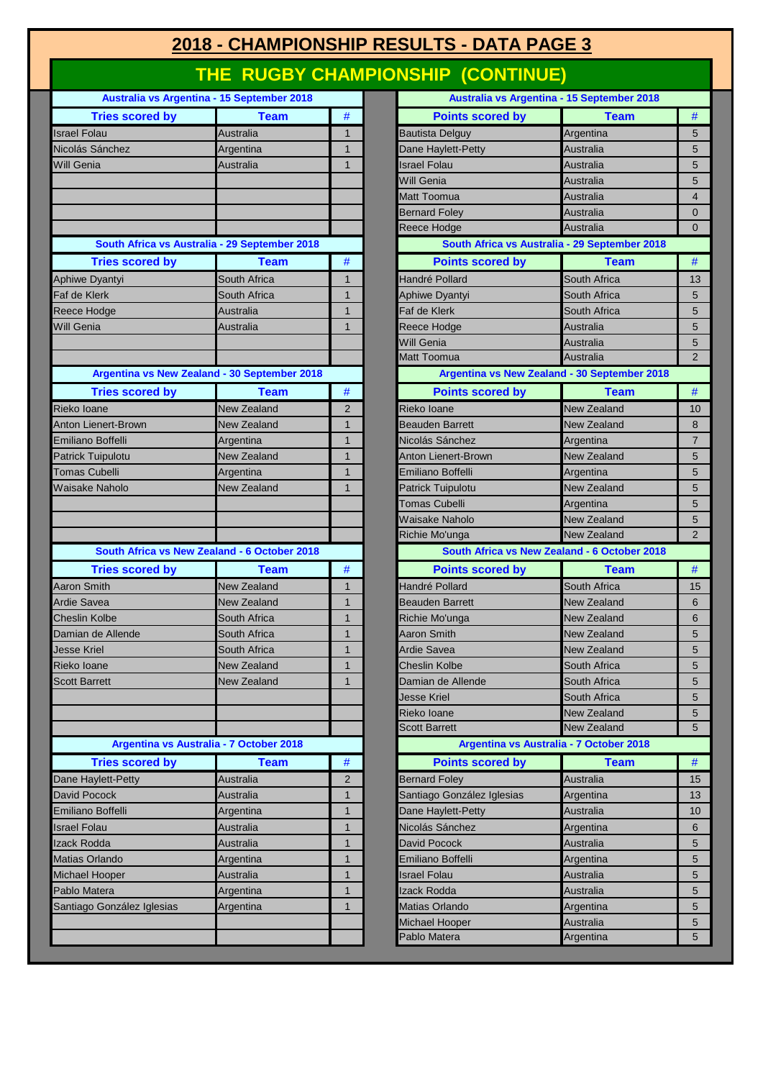## **2018 - CHAMPIONSHIP RESULTS - DATA PAGE 3**

# **THE RUGBY CHAMPIONSHIP (CONTINUE)**

|                            | Australia vs Argentina - 15 September 2018    |                |                            | Australia vs Argentina - 15 September 2018    |                 |
|----------------------------|-----------------------------------------------|----------------|----------------------------|-----------------------------------------------|-----------------|
| <b>Tries scored by</b>     | <b>Team</b>                                   | $\#$           | <b>Points scored by</b>    | <b>Team</b>                                   | $\#$            |
| <b>Israel Folau</b>        | Australia                                     | $\mathbf{1}$   | <b>Bautista Delguy</b>     | Argentina                                     | 5               |
| Nicolás Sánchez            | Argentina                                     | $\mathbf{1}$   | Dane Haylett-Petty         | Australia                                     | $\overline{5}$  |
| <b>Will Genia</b>          | Australia                                     | $\mathbf{1}$   | <b>Israel Folau</b>        | <b>Australia</b>                              | 5               |
|                            |                                               |                | Will Genia                 | Australia                                     | 5               |
|                            |                                               |                | Matt Toomua                | <b>Australia</b>                              | $\overline{4}$  |
|                            |                                               |                | <b>Bernard Foley</b>       | <b>Australia</b>                              | $\mathbf 0$     |
|                            |                                               |                | Reece Hodge                | Australia                                     | $\overline{0}$  |
|                            | South Africa vs Australia - 29 September 2018 |                |                            | South Africa vs Australia - 29 September 2018 |                 |
| <b>Tries scored by</b>     | <b>Team</b>                                   | $\#$           | <b>Points scored by</b>    | <b>Team</b>                                   | $\#$            |
| Aphiwe Dyantyi             | South Africa                                  | $\mathbf{1}$   | Handré Pollard             | South Africa                                  | 13              |
| Faf de Klerk               | South Africa                                  | $\mathbf{1}$   | <b>Aphiwe Dyantyi</b>      | South Africa                                  | 5               |
| Reece Hodge                | Australia                                     | $\mathbf{1}$   | Faf de Klerk               | South Africa                                  | $\overline{5}$  |
| <b>Will Genia</b>          | Australia                                     | $\mathbf{1}$   | Reece Hodge                | <b>Australia</b>                              | 5               |
|                            |                                               |                | Will Genia                 | <b>Australia</b>                              | 5               |
|                            |                                               |                | Matt Toomua                | Australia                                     | $\overline{2}$  |
|                            | Argentina vs New Zealand - 30 September 2018  |                |                            | Argentina vs New Zealand - 30 September 2018  |                 |
| <b>Tries scored by</b>     | <b>Team</b>                                   | $\#$           | <b>Points scored by</b>    | <b>Team</b>                                   | #               |
| Rieko Ioane                | <b>New Zealand</b>                            | $\overline{2}$ | Rieko Ioane                | New Zealand                                   | 1 <sub>C</sub>  |
| Anton Lienert-Brown        | <b>New Zealand</b>                            | 1              | <b>Beauden Barrett</b>     | New Zealand                                   | 8               |
| Emiliano Boffelli          | Argentina                                     | $\mathbf{1}$   | Nicolás Sánchez            | Argentina                                     | $\overline{7}$  |
| <b>Patrick Tuipulotu</b>   | <b>New Zealand</b>                            | $\mathbf{1}$   | Anton Lienert-Brown        | New Zealand                                   | 5               |
| <b>Tomas Cubelli</b>       | Argentina                                     | $\mathbf{1}$   | Emiliano Boffelli          | Argentina                                     | 5               |
| <b>Waisake Naholo</b>      | New Zealand                                   | $\mathbf{1}$   | Patrick Tuipulotu          | <b>New Zealand</b>                            | 5               |
|                            |                                               |                | <b>Tomas Cubelli</b>       | Argentina                                     | 5               |
|                            |                                               |                | Waisake Naholo             | <b>New Zealand</b>                            | 5               |
|                            |                                               |                | Richie Mo'unga             | <b>New Zealand</b>                            | $\overline{2}$  |
|                            | South Africa vs New Zealand - 6 October 2018  |                |                            | South Africa vs New Zealand - 6 October 2018  |                 |
| <b>Tries scored by</b>     | <b>Team</b>                                   | $\#$           | <b>Points scored by</b>    | <b>Team</b>                                   | #               |
| <b>Aaron Smith</b>         | <b>New Zealand</b>                            | 1              | Handré Pollard             | South Africa                                  | 15              |
| <b>Ardie Savea</b>         | New Zealand                                   | $\mathbf{1}$   | <b>Beauden Barrett</b>     | New Zealand                                   | 6               |
| <b>Cheslin Kolbe</b>       | South Africa                                  | $\mathbf{1}$   | Richie Mo'unga             | New Zealand                                   | 6               |
| Damian de Allende          | South Africa                                  | $\mathbf{1}$   | <b>Aaron Smith</b>         | <b>New Zealand</b>                            | $\overline{5}$  |
| <b>Jesse Kriel</b>         | South Africa                                  | $\mathbf{1}$   | <b>Ardie Savea</b>         | <b>New Zealand</b>                            | 5               |
| Rieko Ioane                | New Zealand                                   | $\mathbf{1}$   | Cheslin Kolbe              | South Africa                                  | $\overline{5}$  |
| <b>Scott Barrett</b>       | New Zealand                                   | $\mathbf{1}$   | Damian de Allende          | South Africa                                  | $\overline{5}$  |
|                            |                                               |                | Jesse Kriel                | South Africa                                  | $\overline{5}$  |
|                            |                                               |                | Rieko Ioane                | New Zealand                                   | $5\phantom{.0}$ |
|                            |                                               |                | <b>Scott Barrett</b>       | New Zealand                                   | 5               |
|                            | Argentina vs Australia - 7 October 2018       |                |                            | Argentina vs Australia - 7 October 2018       |                 |
|                            |                                               |                |                            |                                               |                 |
| <b>Tries scored by</b>     | <b>Team</b>                                   | $\#$           | <b>Points scored by</b>    | <b>Team</b>                                   | #               |
| Dane Haylett-Petty         | Australia                                     | $\overline{2}$ | <b>Bernard Foley</b>       | Australia                                     | 15              |
| David Pocock               | Australia                                     | 1              | Santiago González Iglesias | Argentina                                     | 13              |
| Emiliano Boffelli          | Argentina                                     | $\mathbf{1}$   | Dane Haylett-Petty         | Australia                                     | 1 <sup>C</sup>  |
| <b>Israel Folau</b>        | Australia                                     | $\mathbf{1}$   | Nicolás Sánchez            | Argentina                                     | $6\phantom{1}6$ |
| Izack Rodda                | Australia                                     | $\mathbf{1}$   | David Pocock               | Australia                                     | $5\phantom{.0}$ |
| Matias Orlando             | Argentina                                     | $\mathbf{1}$   | Emiliano Boffelli          | Argentina                                     | 5               |
| Michael Hooper             | Australia                                     | $\mathbf{1}$   | <b>Israel Folau</b>        | Australia                                     | 5               |
| Pablo Matera               | Argentina                                     | $\mathbf{1}$   | Izack Rodda                | Australia                                     | $\overline{5}$  |
| Santiago González Iglesias | Argentina                                     | $\mathbf{1}$   | Matias Orlando             | Argentina                                     | 5               |
|                            |                                               |                | Michael Hooper             | Australia                                     | 5               |
|                            |                                               |                | Pablo Matera               | Argentina                                     | 5               |

| <b>Australia vs Argentina - 15 September 2018</b> |                                         |                | Australia vs Argentina - 15 September 2018       |                |
|---------------------------------------------------|-----------------------------------------|----------------|--------------------------------------------------|----------------|
| <b>Tries scored by</b>                            | <b>Team</b>                             | $\#$           | <b>Team</b><br><b>Points scored by</b>           | #              |
| blau                                              | Australia                               | 1              | <b>Bautista Delguy</b><br>Argentina              | 5              |
| Sánchez                                           | Argentina                               | $\mathbf{1}$   | Dane Haylett-Petty<br><b>Australia</b>           | 5              |
| ıia                                               | Australia                               | $\mathbf{1}$   | <b>Israel Folau</b><br>Australia                 | 5              |
|                                                   |                                         |                | Will Genia<br>Australia                          | 5              |
|                                                   |                                         |                | Matt Toomua<br>Australia                         | 4              |
|                                                   |                                         |                | <b>Bernard Foley</b><br>Australia                | $\mathbf{0}$   |
|                                                   |                                         |                | Reece Hodge<br>Australia                         | $\Omega$       |
| South Africa vs Australia - 29 September 2018     |                                         |                | South Africa vs Australia - 29 September 2018    |                |
| <b>Tries scored by</b>                            | <b>Team</b>                             | #              | <b>Points scored by</b><br><b>Team</b>           | #              |
| Dyantyi                                           | South Africa                            | 1              | Handré Pollard<br>South Africa                   | 13             |
| lerk                                              | South Africa                            | $\mathbf{1}$   | Aphiwe Dyantyi<br>South Africa                   | 5              |
| lodge                                             | Australia                               | $\mathbf{1}$   | Faf de Klerk<br>South Africa                     | 5              |
| ıia                                               | <b>Australia</b>                        | $\mathbf{1}$   | Reece Hodge<br>Australia                         | 5              |
|                                                   |                                         |                | Will Genia<br>Australia                          | 5              |
|                                                   |                                         |                | <b>Matt Toomua</b><br>Australia                  | $\overline{2}$ |
| Argentina vs New Zealand - 30 September 2018      |                                         |                | Argentina vs New Zealand - 30 September 2018     |                |
| <b>Tries scored by</b>                            | <b>Team</b>                             | $\#$           | <b>Points scored by</b><br><b>Team</b>           | #              |
| ane                                               | New Zealand                             | $\overline{2}$ | Rieko Ioane<br><b>New Zealand</b>                | 10             |
| enert-Brown                                       | New Zealand                             | $\mathbf{1}$   | <b>Beauden Barrett</b><br>New Zealand            | 8              |
| <b>Boffelli</b>                                   | Argentina                               | 1              | Nicolás Sánchez<br>Argentina                     | $\overline{7}$ |
| <b>Tuipulotu</b>                                  | <b>New Zealand</b>                      | $\mathbf{1}$   | <b>Anton Lienert-Brown</b><br><b>New Zealand</b> | 5              |
| Cubelli                                           | Argentina                               | 1              | Emiliano Boffelli<br>Argentina                   | 5              |
| <b>Naholo</b>                                     | New Zealand                             | $\mathbf{1}$   | <b>New Zealand</b><br><b>Patrick Tuipulotu</b>   | 5              |
|                                                   |                                         |                | <b>Tomas Cubelli</b><br>Argentina                | 5              |
|                                                   |                                         |                | Waisake Naholo<br><b>New Zealand</b>             | 5              |
|                                                   |                                         |                | <b>New Zealand</b><br>Richie Mo'unga             | $\overline{2}$ |
| South Africa vs New Zealand - 6 October 2018      |                                         |                | South Africa vs New Zealand - 6 October 2018     |                |
| <b>Tries scored by</b>                            | <b>Team</b>                             | #              | <b>Points scored by</b><br><b>Team</b>           | #              |
| mith                                              | New Zealand                             | 1              | Handré Pollard<br>South Africa                   | 15             |
| <b>vea</b>                                        | New Zealand                             | 1              | <b>New Zealand</b><br><b>Beauden Barrett</b>     | 6              |
| Kolbe                                             | South Africa                            | $\mathbf{1}$   | Richie Mo'unga<br><b>New Zealand</b>             | 6              |
| de Allende                                        | South Africa                            | 1              | <b>Aaron Smith</b><br><b>New Zealand</b>         | 5              |
| riel                                              | South Africa                            | $\mathbf{1}$   | <b>Ardie Savea</b><br>New Zealand                | 5              |
| ane                                               | <b>New Zealand</b>                      | 1              | <b>Cheslin Kolbe</b><br>South Africa             | 5              |
| <b>rrett</b>                                      | New Zealand                             | 1              | Damian de Allende<br>South Africa                | 5              |
|                                                   |                                         |                | Jesse Kriel<br>South Africa                      | 5              |
|                                                   |                                         |                | Rieko Ioane<br>New Zealand                       | 5              |
|                                                   |                                         |                | <b>Scott Barrett</b><br>New Zealand              | 5              |
|                                                   | Argentina vs Australia - 7 October 2018 |                | Argentina vs Australia - 7 October 2018          |                |
| <b>Tries scored by</b>                            | <b>Team</b>                             | $\#$           | <b>Points scored by</b><br><b>Team</b>           | $\#$           |
| aylett-Petty                                      | Australia                               | 2              | <b>Bernard Foley</b><br><b>Australia</b>         | 15             |
| ocock                                             | Australia                               | 1              | Santiago González Iglesias<br>Argentina          | 13             |
| <b>Boffelli</b>                                   | Argentina                               | $\mathbf{1}$   | Australia<br>Dane Haylett-Petty                  | 10             |
| الau                                              | Australia                               | 1              | Nicolás Sánchez<br>Argentina                     | 6              |
| dda                                               | Australia                               | 1              | David Pocock<br>Australia                        | 5              |
| <b>Orlando</b>                                    | Argentina                               | $\mathbf{1}$   | Emiliano Boffelli<br>Argentina                   | 5              |
| Hooper                                            | Australia                               | $\mathbf{1}$   | <b>Israel Folau</b><br><b>Australia</b>          | 5              |
| atera                                             | Argentina                               | 1              | <b>zack Rodda</b><br>Australia                   | 5              |
| González Iglesias                                 | Argentina                               | $\mathbf{1}$   | Matias Orlando<br>Argentina                      | 5              |
|                                                   |                                         |                | Michael Hooper<br>Australia                      | 5              |
|                                                   |                                         |                | Pablo Matera<br>Argentina                        | 5              |
|                                                   |                                         |                |                                                  |                |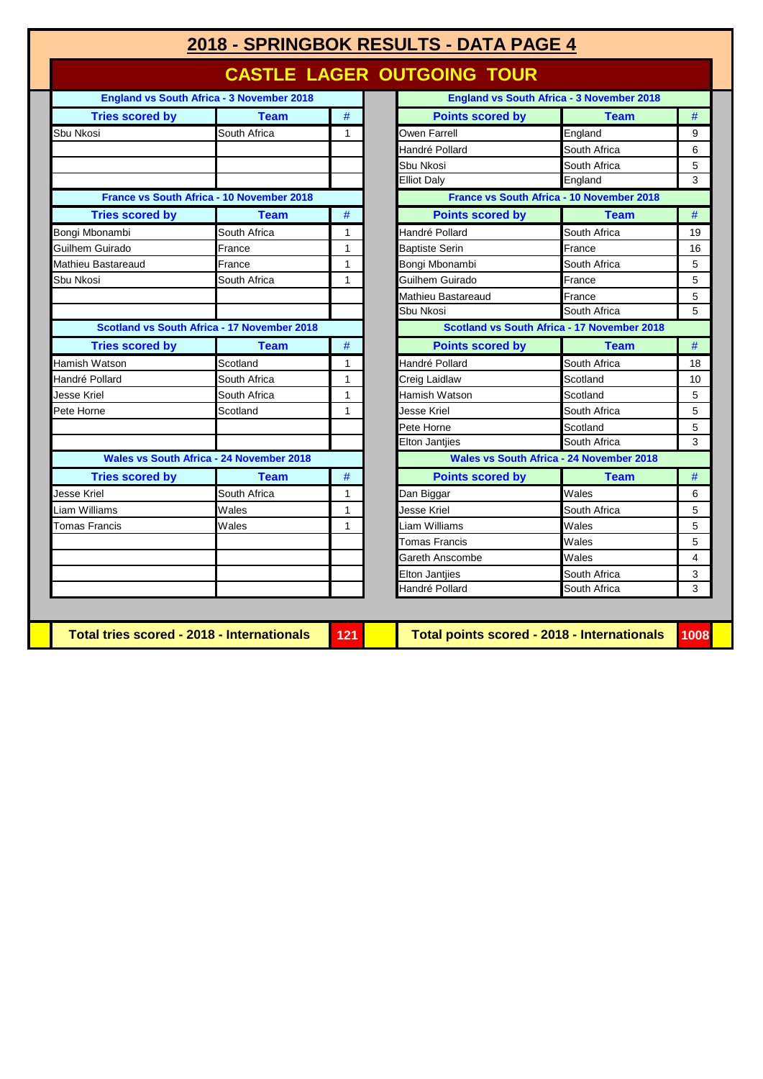# **2018 - SPRINGBOK RESULTS - DATA PAGE 4**

#### **CASTLE LAGER OUTGOING TOUR**

|                        | <b>England vs South Africa - 3 November 2018</b> |      |                         | <b>England vs South Africa - 3 November 2018</b> |                |
|------------------------|--------------------------------------------------|------|-------------------------|--------------------------------------------------|----------------|
| <b>Tries scored by</b> | <b>Team</b>                                      | #    | <b>Points scored by</b> | <b>Team</b>                                      | #              |
| Sbu Nkosi              | South Africa                                     | 1    | Owen Farrell            | England                                          | 9              |
|                        |                                                  |      | Handré Pollard          | South Africa                                     | 6              |
|                        |                                                  |      | Sbu Nkosi               | South Africa                                     | 5              |
|                        |                                                  |      | <b>Elliot Daly</b>      | England                                          | 3              |
|                        | <b>France vs South Africa - 10 November 2018</b> |      |                         | France vs South Africa - 10 November 2018        |                |
| <b>Tries scored by</b> | <b>Team</b>                                      | $\#$ | <b>Points scored by</b> | <b>Team</b>                                      | #              |
| Bongi Mbonambi         | South Africa                                     | 1    | Handré Pollard          | South Africa                                     | 1 <sup>c</sup> |
| Guilhem Guirado        | France                                           | 1    | <b>Baptiste Serin</b>   | France                                           | 16             |
| Mathieu Bastareaud     | France                                           | 1    | Bongi Mbonambi          | South Africa                                     | 5              |
| Sbu Nkosi              | South Africa                                     | 1    | Guilhem Guirado         | France                                           | 5              |
|                        |                                                  |      | Mathieu Bastareaud      | France                                           | 5              |
|                        |                                                  |      | Sbu Nkosi               | South Africa                                     | $\overline{5}$ |
|                        | Scotland vs South Africa - 17 November 2018      |      |                         | Scotland vs South Africa - 17 November 2018      |                |
| <b>Tries scored by</b> | <b>Team</b>                                      | $\#$ | <b>Points scored by</b> | <b>Team</b>                                      | #              |
| Hamish Watson          | Scotland                                         | 1    | Handré Pollard          | South Africa                                     | 18             |
| Handré Pollard         | South Africa                                     | 1    | Creig Laidlaw           | Scotland                                         | 1 <sup>C</sup> |
| <b>Jesse Kriel</b>     | South Africa                                     | 1    | Hamish Watson           | Scotland                                         | 5              |
| Pete Horne             | Scotland                                         | 1    | <b>Jesse Kriel</b>      | South Africa                                     | 5              |
|                        |                                                  |      | Pete Horne              | Scotland                                         | 5              |
|                        |                                                  |      | <b>Elton Jantjies</b>   | South Africa                                     | 3              |
|                        | <b>Wales vs South Africa - 24 November 2018</b>  |      |                         | <b>Wales vs South Africa - 24 November 2018</b>  |                |
| <b>Tries scored by</b> | <b>Team</b>                                      | $\#$ | <b>Points scored by</b> | <b>Team</b>                                      | #              |
| Jesse Kriel            | South Africa                                     | 1    | Dan Biggar              | Wales                                            | 6              |
| Liam Williams          | Wales                                            | 1    | Jesse Kriel             | South Africa                                     | 5              |
| <b>Tomas Francis</b>   | Wales                                            | 1    | Liam Williams           | Wales                                            | 5              |
|                        |                                                  |      | <b>Tomas Francis</b>    | Wales                                            | 5              |
|                        |                                                  |      | Gareth Anscombe         | Wales                                            | $\overline{4}$ |
|                        |                                                  |      | <b>Elton Jantiies</b>   | South Africa                                     | 3              |
|                        |                                                  |      | Handré Pollard          | South Africa                                     | 3              |

|                        | <b>England vs South Africa - 3 November 2018</b> |              |                         | <b>England vs South Africa - 3 November 2018</b> |    |
|------------------------|--------------------------------------------------|--------------|-------------------------|--------------------------------------------------|----|
| <b>Tries scored by</b> | <b>Team</b>                                      | $\#$         | <b>Points scored by</b> | <b>Team</b>                                      | #  |
| ısі                    | South Africa                                     | 1            | Owen Farrell            | England                                          | 9  |
|                        |                                                  |              | Handré Pollard          | South Africa                                     | 6  |
|                        |                                                  |              | Sbu Nkosi               | South Africa                                     | 5  |
|                        |                                                  |              | <b>Elliot Daly</b>      | England                                          | 3  |
|                        | France vs South Africa - 10 November 2018        |              |                         | France vs South Africa - 10 November 2018        |    |
| <b>Tries scored by</b> | <b>Team</b>                                      | #            | <b>Points scored by</b> | <b>Team</b>                                      | #  |
| bonambi                | South Africa                                     | 1            | Handré Pollard          | South Africa                                     | 19 |
| Guirado                | France                                           | $\mathbf{1}$ | <b>Baptiste Serin</b>   | France                                           | 16 |
| Bastareaud             | France                                           | $\mathbf{1}$ | Bongi Mbonambi          | South Africa                                     | 5  |
| ısi                    | South Africa                                     | $\mathbf{1}$ | Guilhem Guirado         | France                                           | 5  |
|                        |                                                  |              | Mathieu Bastareaud      | France                                           | 5  |
|                        |                                                  |              | Sbu Nkosi               | South Africa                                     | 5  |
|                        | Scotland vs South Africa - 17 November 2018      |              |                         | Scotland vs South Africa - 17 November 2018      |    |
| <b>Tries scored by</b> | <b>Team</b>                                      | #            | <b>Points scored by</b> | <b>Team</b>                                      | #  |
| Watson                 | Scotland                                         | 1            | Handré Pollard          | South Africa                                     | 18 |
| Pollard                | South Africa                                     | $\mathbf{1}$ | Creig Laidlaw           | Scotland                                         | 10 |
| riel                   | South Africa                                     | $\mathbf{1}$ | Hamish Watson           | Scotland                                         | 5  |
| rne                    | Scotland                                         | 1            | <b>Jesse Kriel</b>      | South Africa                                     | 5  |
|                        |                                                  |              | Pete Horne              | Scotland                                         | 5  |
|                        |                                                  |              | <b>Elton Jantiies</b>   | South Africa                                     | 3  |
|                        | Wales vs South Africa - 24 November 2018         |              |                         | <b>Wales vs South Africa - 24 November 2018</b>  |    |
| <b>Tries scored by</b> | <b>Team</b>                                      | $\#$         | <b>Points scored by</b> | <b>Team</b>                                      | #  |
| riel                   | South Africa                                     | 1            | Dan Biggar              | Wales                                            | 6  |
| lliams                 | Wales                                            | $\mathbf{1}$ | Jesse Kriel             | South Africa                                     | 5  |
| Francis <sup>-</sup>   | Wales                                            | 1            | Liam Williams           | Wales                                            | 5  |
|                        |                                                  |              | <b>Tomas Francis</b>    | Wales                                            | 5  |
|                        |                                                  |              | Gareth Anscombe         | Wales                                            | 4  |
|                        |                                                  |              | <b>Elton Jantiies</b>   | South Africa                                     | 3  |
|                        |                                                  |              | Handré Pollard          | South Africa                                     | 3  |

**Total tries scored - 2018 - Internationals 121 Total points scored - 2018 - Internationals 1008**